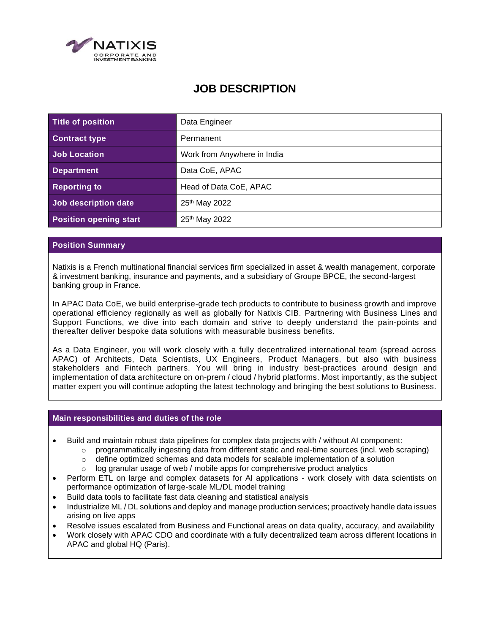

# **JOB DESCRIPTION**

| Title of position             | Data Engineer               |
|-------------------------------|-----------------------------|
| <b>Contract type</b>          | Permanent                   |
| Job Location                  | Work from Anywhere in India |
| <b>Department</b>             | Data CoE, APAC              |
| <b>Reporting to</b>           | Head of Data CoE, APAC      |
| Job description date          | 25 <sup>th</sup> May 2022   |
| <b>Position opening start</b> | 25th May 2022               |

## **Position Summary**

Natixis is a French multinational financial services firm specialized in asset & wealth management, corporate & investment banking, insurance and payments, and a subsidiary of Groupe BPCE, the second-largest banking group in France.

In APAC Data CoE, we build enterprise-grade tech products to contribute to business growth and improve operational efficiency regionally as well as globally for Natixis CIB. Partnering with Business Lines and Support Functions, we dive into each domain and strive to deeply understand the pain-points and thereafter deliver bespoke data solutions with measurable business benefits.

As a Data Engineer, you will work closely with a fully decentralized international team (spread across APAC) of Architects, Data Scientists, UX Engineers, Product Managers, but also with business stakeholders and Fintech partners. You will bring in industry best-practices around design and implementation of data architecture on on-prem / cloud / hybrid platforms. Most importantly, as the subject matter expert you will continue adopting the latest technology and bringing the best solutions to Business.

## **Main responsibilities and duties of the role**

- Build and maintain robust data pipelines for complex data projects with / without AI component:
	- $\circ$  programmatically ingesting data from different static and real-time sources (incl. web scraping)
	- $\circ$  define optimized schemas and data models for scalable implementation of a solution
	- $\circ$  log granular usage of web / mobile apps for comprehensive product analytics
- Perform ETL on large and complex datasets for AI applications work closely with data scientists on performance optimization of large-scale ML/DL model training
- Build data tools to facilitate fast data cleaning and statistical analysis
- Industrialize ML / DL solutions and deploy and manage production services; proactively handle data issues arising on live apps
- Resolve issues escalated from Business and Functional areas on data quality, accuracy, and availability
- Work closely with APAC CDO and coordinate with a fully decentralized team across different locations in APAC and global HQ (Paris).